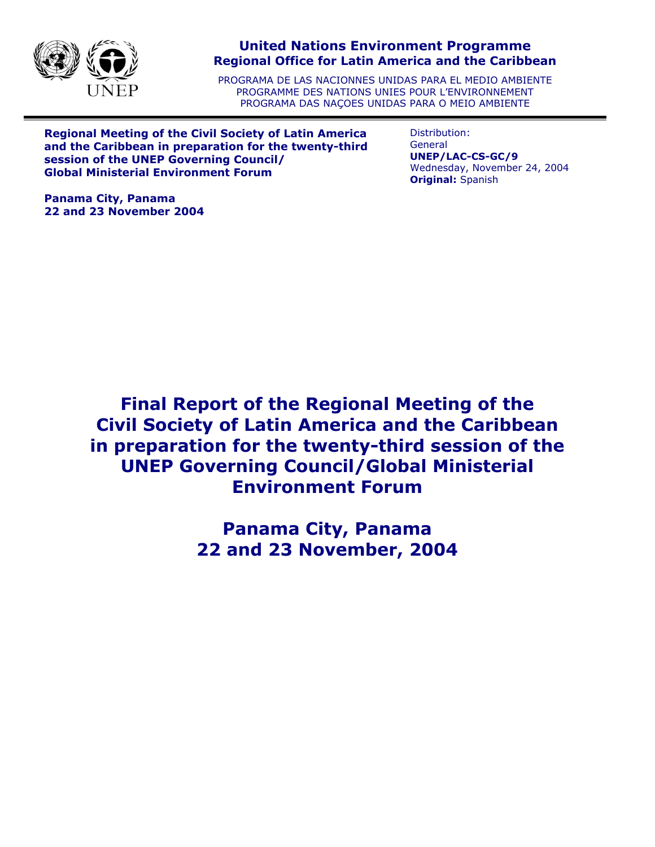

### **United Nations Environment Programme Regional Office for Latin America and the Caribbean**

PROGRAMA DE LAS NACIONNES UNIDAS PARA EL MEDIO AMBIENTE PROGRAMME DES NATIONS UNIES POUR L'ENVIRONNEMENT PROGRAMA DAS NAÇOES UNIDAS PARA O MEIO AMBIENTE

**Regional Meeting of the Civil Society of Latin America and the Caribbean in preparation for the twenty-third session of the UNEP Governing Council/ Global Ministerial Environment Forum** 

Distribution: General **UNEP/LAC-CS-GC/9** Wednesday, November 24, 2004 **Original:** Spanish

**Panama City, Panama 22 and 23 November 2004** 

> **Final Report of the Regional Meeting of the Civil Society of Latin America and the Caribbean in preparation for the twenty-third session of the UNEP Governing Council/Global Ministerial Environment Forum**

> > **Panama City, Panama 22 and 23 November, 2004**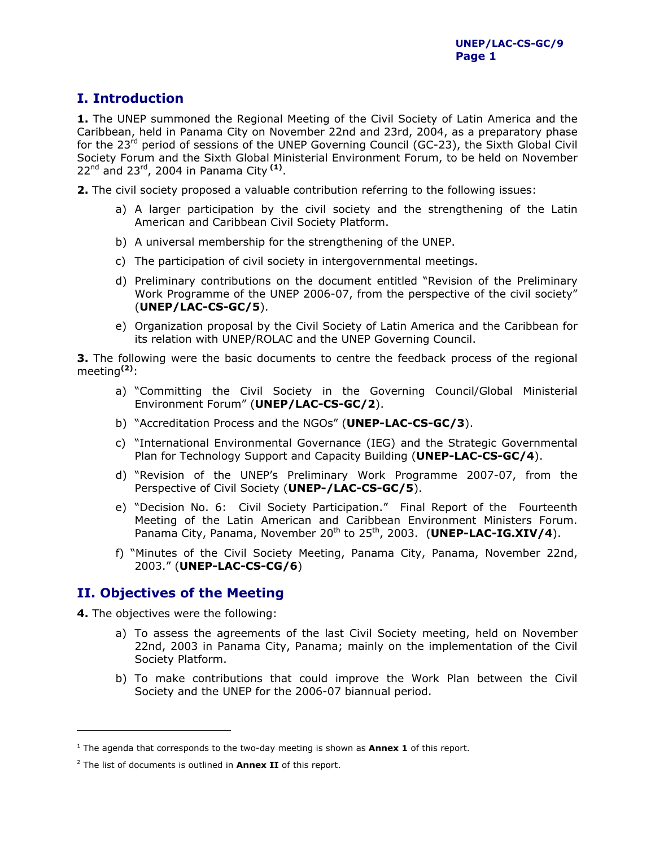# **I. Introduction**

**1.** The UNEP summoned the Regional Meeting of the Civil Society of Latin America and the Caribbean, held in Panama City on November 22nd and 23rd, 2004, as a preparatory phase for the 23<sup>rd</sup> period of sessions of the UNEP Governing Council (GC-23), the Sixth Global Civil Society Forum and the Sixth Global Ministerial Environment Forum, to be held on November 22nd and 23rd, 2004 in Panama City **([1\)](#page-2-0)**.

**2.** The civil society proposed a valuable contribution referring to the following issues:

- a) A larger participation by the civil society and the strengthening of the Latin American and Caribbean Civil Society Platform.
- b) A universal membership for the strengthening of the UNEP.
- c) The participation of civil society in intergovernmental meetings.
- d) Preliminary contributions on the document entitled "Revision of the Preliminary Work Programme of the UNEP 2006-07, from the perspective of the civil society" (**UNEP/LAC-CS-GC/5**).
- e) Organization proposal by the Civil Society of Latin America and the Caribbean for its relation with UNEP/ROLAC and the UNEP Governing Council.

**3.** The following were the basic documents to centre the feedback process of the regional meeting**[\(2\)](#page-2-1)**:

- a) "Committing the Civil Society in the Governing Council/Global Ministerial Environment Forum" (**UNEP/LAC-CS-GC/2**).
- b) "Accreditation Process and the NGOs" (**UNEP-LAC-CS-GC/3**).
- c) "International Environmental Governance (IEG) and the Strategic Governmental Plan for Technology Support and Capacity Building (**UNEP-LAC-CS-GC/4**).
- d) "Revision of the UNEP's Preliminary Work Programme 2007-07, from the Perspective of Civil Society (**UNEP-/LAC-CS-GC/5**).
- e) "Decision No. 6: Civil Society Participation." Final Report of the Fourteenth Meeting of the Latin American and Caribbean Environment Ministers Forum. Panama City, Panama, November 20<sup>th</sup> to 25<sup>th</sup>, 2003. (UNEP-LAC-IG.XIV/4).
- f) "Minutes of the Civil Society Meeting, Panama City, Panama, November 22nd, 2003." (**UNEP-LAC-CS-CG/6**)

## **II. Objectives of the Meeting**

**4.** The objectives were the following:

 $\overline{a}$ 

- a) To assess the agreements of the last Civil Society meeting, held on November 22nd, 2003 in Panama City, Panama; mainly on the implementation of the Civil Society Platform.
- b) To make contributions that could improve the Work Plan between the Civil Society and the UNEP for the 2006-07 biannual period.

<span id="page-2-0"></span><sup>1</sup> The agenda that corresponds to the two-day meeting is shown as **Annex 1** of this report.

<span id="page-2-1"></span><sup>2</sup> The list of documents is outlined in **Annex II** of this report.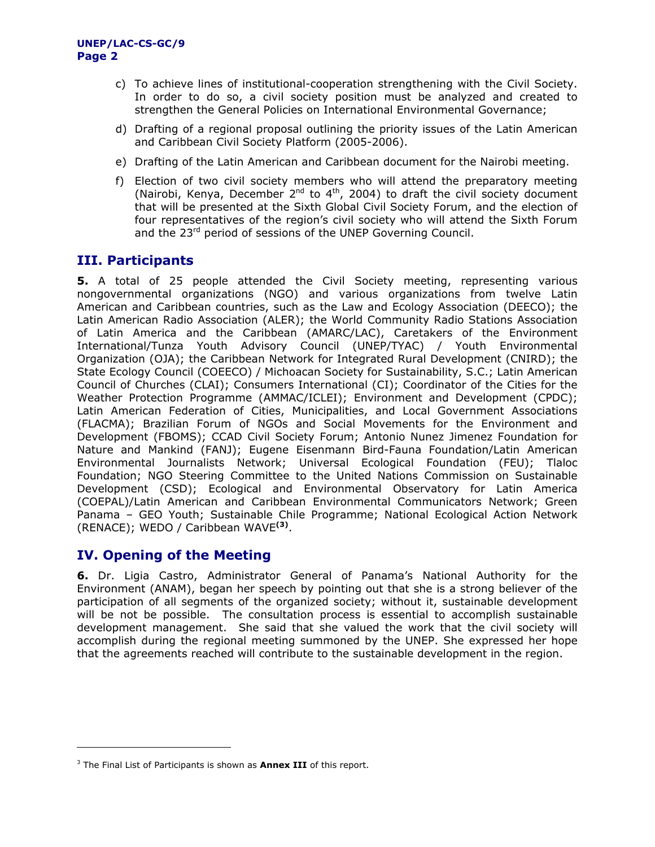- c) To achieve lines of institutional-cooperation strengthening with the Civil Society. In order to do so, a civil society position must be analyzed and created to strengthen the General Policies on International Environmental Governance;
- d) Drafting of a regional proposal outlining the priority issues of the Latin American and Caribbean Civil Society Platform (2005-2006).
- e) Drafting of the Latin American and Caribbean document for the Nairobi meeting.
- f) Election of two civil society members who will attend the preparatory meeting (Nairobi, Kenya, December  $2^{nd}$  to  $4^{th}$ , 2004) to draft the civil society document that will be presented at the Sixth Global Civil Society Forum, and the election of four representatives of the region's civil society who will attend the Sixth Forum and the 23<sup>rd</sup> period of sessions of the UNEP Governing Council.

## **III. Participants**

**5.** A total of 25 people attended the Civil Society meeting, representing various nongovernmental organizations (NGO) and various organizations from twelve Latin American and Caribbean countries, such as the Law and Ecology Association (DEECO); the Latin American Radio Association (ALER); the World Community Radio Stations Association of Latin America and the Caribbean (AMARC/LAC), Caretakers of the Environment International/Tunza Youth Advisory Council (UNEP/TYAC) / Youth Environmental Organization (OJA); the Caribbean Network for Integrated Rural Development (CNIRD); the State Ecology Council (COEECO) / Michoacan Society for Sustainability, S.C.; Latin American Council of Churches (CLAI); Consumers International (CI); Coordinator of the Cities for the Weather Protection Programme (AMMAC/ICLEI); Environment and Development (CPDC); Latin American Federation of Cities, Municipalities, and Local Government Associations (FLACMA); Brazilian Forum of NGOs and Social Movements for the Environment and Development (FBOMS); CCAD Civil Society Forum; Antonio Nunez Jimenez Foundation for Nature and Mankind (FANJ); Eugene Eisenmann Bird-Fauna Foundation/Latin American Environmental Journalists Network; Universal Ecological Foundation (FEU); Tlaloc Foundation; NGO Steering Committee to the United Nations Commission on Sustainable Development (CSD); Ecological and Environmental Observatory for Latin America (COEPAL)/Latin American and Caribbean Environmental Communicators Network; Green Panama – GEO Youth; Sustainable Chile Programme; National Ecological Action Network (RENACE); WEDO / Caribbean WAVE**[\(3\)](#page-3-0)**.

### **IV. Opening of the Meeting**

 $\overline{a}$ 

**6.** Dr. Ligia Castro, Administrator General of Panama's National Authority for the Environment (ANAM), began her speech by pointing out that she is a strong believer of the participation of all segments of the organized society; without it, sustainable development will be not be possible. The consultation process is essential to accomplish sustainable development management. She said that she valued the work that the civil society will accomplish during the regional meeting summoned by the UNEP. She expressed her hope that the agreements reached will contribute to the sustainable development in the region.

<span id="page-3-0"></span><sup>3</sup> The Final List of Participants is shown as **Annex III** of this report.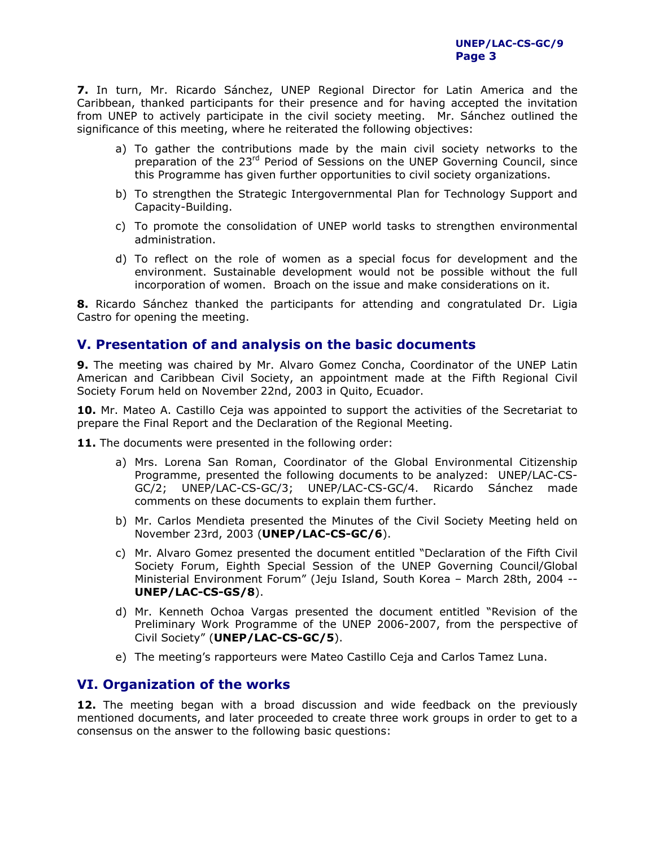**7.** In turn, Mr. Ricardo Sánchez, UNEP Regional Director for Latin America and the Caribbean, thanked participants for their presence and for having accepted the invitation from UNEP to actively participate in the civil society meeting. Mr. Sánchez outlined the significance of this meeting, where he reiterated the following objectives:

- a) To gather the contributions made by the main civil society networks to the preparation of the  $23<sup>rd</sup>$  Period of Sessions on the UNEP Governing Council, since this Programme has given further opportunities to civil society organizations.
- b) To strengthen the Strategic Intergovernmental Plan for Technology Support and Capacity-Building.
- c) To promote the consolidation of UNEP world tasks to strengthen environmental administration.
- d) To reflect on the role of women as a special focus for development and the environment. Sustainable development would not be possible without the full incorporation of women. Broach on the issue and make considerations on it.

**8.** Ricardo Sánchez thanked the participants for attending and congratulated Dr. Ligia Castro for opening the meeting.

### **V. Presentation of and analysis on the basic documents**

**9.** The meeting was chaired by Mr. Alvaro Gomez Concha, Coordinator of the UNEP Latin American and Caribbean Civil Society, an appointment made at the Fifth Regional Civil Society Forum held on November 22nd, 2003 in Quito, Ecuador.

**10.** Mr. Mateo A. Castillo Ceja was appointed to support the activities of the Secretariat to prepare the Final Report and the Declaration of the Regional Meeting.

**11.** The documents were presented in the following order:

- a) Mrs. Lorena San Roman, Coordinator of the Global Environmental Citizenship Programme, presented the following documents to be analyzed: UNEP/LAC-CS-GC/2; UNEP/LAC-CS-GC/3; UNEP/LAC-CS-GC/4. Ricardo Sánchez made comments on these documents to explain them further.
- b) Mr. Carlos Mendieta presented the Minutes of the Civil Society Meeting held on November 23rd, 2003 (**UNEP/LAC-CS-GC/6**).
- c) Mr. Alvaro Gomez presented the document entitled "Declaration of the Fifth Civil Society Forum, Eighth Special Session of the UNEP Governing Council/Global Ministerial Environment Forum" (Jeju Island, South Korea – March 28th, 2004 -- **UNEP/LAC-CS-GS/8**).
- d) Mr. Kenneth Ochoa Vargas presented the document entitled "Revision of the Preliminary Work Programme of the UNEP 2006-2007, from the perspective of Civil Society" (**UNEP/LAC-CS-GC/5**).
- e) The meeting's rapporteurs were Mateo Castillo Ceja and Carlos Tamez Luna.

### **VI. Organization of the works**

**12.** The meeting began with a broad discussion and wide feedback on the previously mentioned documents, and later proceeded to create three work groups in order to get to a consensus on the answer to the following basic questions: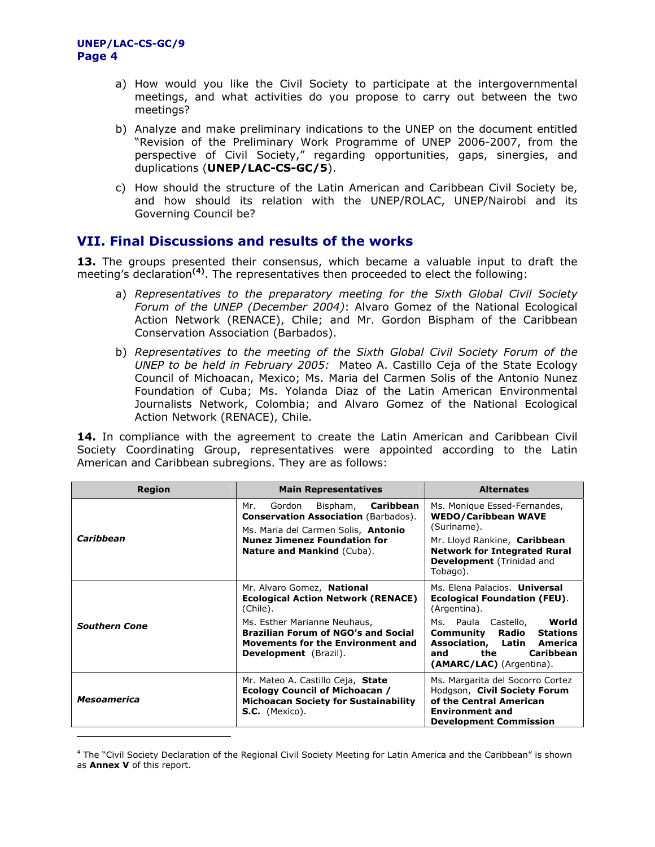$\overline{a}$ 

- a) How would you like the Civil Society to participate at the intergovernmental meetings, and what activities do you propose to carry out between the two meetings?
- b) Analyze and make preliminary indications to the UNEP on the document entitled "Revision of the Preliminary Work Programme of UNEP 2006-2007, from the perspective of Civil Society," regarding opportunities, gaps, sinergies, and duplications (**UNEP/LAC-CS-GC/5**).
- c) How should the structure of the Latin American and Caribbean Civil Society be, and how should its relation with the UNEP/ROLAC, UNEP/Nairobi and its Governing Council be?

## **VII. Final Discussions and results of the works**

**13.** The groups presented their consensus, which became a valuable input to draft the meeting's declaration**[\(4\)](#page-5-0)**. The representatives then proceeded to elect the following:

- a) *Representatives to the preparatory meeting for the Sixth Global Civil Society Forum of the UNEP (December 2004)*: Alvaro Gomez of the National Ecological Action Network (RENACE), Chile; and Mr. Gordon Bispham of the Caribbean Conservation Association (Barbados).
- b) *Representatives to the meeting of the Sixth Global Civil Society Forum of the UNEP to be held in February 2005:* Mateo A. Castillo Ceja of the State Ecology Council of Michoacan, Mexico; Ms. Maria del Carmen Solis of the Antonio Nunez Foundation of Cuba; Ms. Yolanda Diaz of the Latin American Environmental Journalists Network, Colombia; and Alvaro Gomez of the National Ecological Action Network (RENACE), Chile.

14. In compliance with the agreement to create the Latin American and Caribbean Civil Society Coordinating Group, representatives were appointed according to the Latin American and Caribbean subregions. They are as follows:

| Region               | <b>Main Representatives</b>                                                                                                                                                                                                            | <b>Alternates</b>                                                                                                                                                                                                                                     |
|----------------------|----------------------------------------------------------------------------------------------------------------------------------------------------------------------------------------------------------------------------------------|-------------------------------------------------------------------------------------------------------------------------------------------------------------------------------------------------------------------------------------------------------|
| Caribbean            | Caribbean<br>Mr.<br>Bispham,<br>Gordon<br><b>Conservation Association (Barbados).</b><br>Ms. Maria del Carmen Solis, Antonio<br><b>Nunez Jimenez Foundation for</b><br><b>Nature and Mankind (Cuba).</b>                               | Ms. Monique Essed-Fernandes,<br><b>WEDO/Caribbean WAVE</b><br>(Suriname).<br>Mr. Lloyd Rankine, Caribbean<br><b>Network for Integrated Rural</b><br><b>Development</b> (Trinidad and<br>Tobago).                                                      |
| <b>Southern Cone</b> | Mr. Alvaro Gomez, National<br><b>Ecological Action Network (RENACE)</b><br>(Chile).<br>Ms. Esther Marianne Neuhaus,<br><b>Brazilian Forum of NGO's and Social</b><br>Movements for the Environment and<br><b>Development</b> (Brazil). | Ms. Elena Palacios. Universal<br><b>Ecological Foundation (FEU).</b><br>(Argentina).<br>Ms. Paula Castello,<br>World<br>Radio<br><b>Stations</b><br>Community<br>Association, Latin<br>America<br>Caribbean<br>the<br>and<br>(AMARC/LAC) (Argentina). |
| <b>Mesoamerica</b>   | Mr. Mateo A. Castillo Ceja, State<br><b>Ecology Council of Michoacan /</b><br><b>Michoacan Society for Sustainability</b><br>$S.C.$ (Mexico).                                                                                          | Ms. Margarita del Socorro Cortez<br>Hodgson, Civil Society Forum<br>of the Central American<br><b>Environment and</b><br><b>Development Commission</b>                                                                                                |

<span id="page-5-0"></span><sup>&</sup>lt;sup>4</sup> The "Civil Society Declaration of the Regional Civil Society Meeting for Latin America and the Caribbean" is shown as **Annex V** of this report.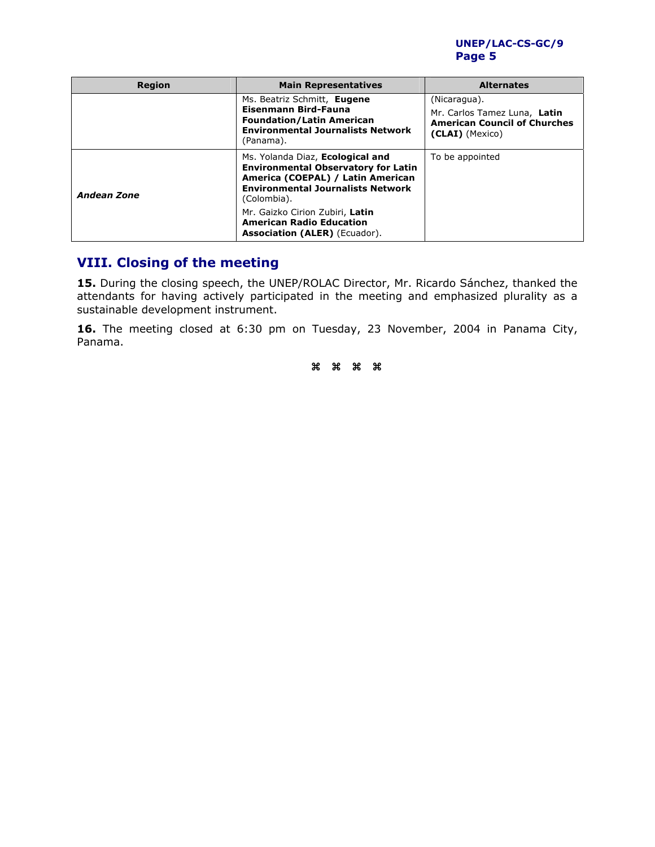#### **UNEP/LAC-CS-GC/9 Page 5**

| <b>Region</b> | <b>Main Representatives</b>                                                                                                                                                    | <b>Alternates</b>                                                                                      |
|---------------|--------------------------------------------------------------------------------------------------------------------------------------------------------------------------------|--------------------------------------------------------------------------------------------------------|
|               | Ms. Beatriz Schmitt, Eugene<br>Eisenmann Bird-Fauna<br><b>Foundation/Latin American</b><br><b>Environmental Journalists Network</b><br>(Panama).                               | (Nicaragua).<br>Mr. Carlos Tamez Luna, Latin<br><b>American Council of Churches</b><br>(CLAI) (Mexico) |
| Andean Zone   | Ms. Yolanda Diaz, Ecological and<br><b>Environmental Observatory for Latin</b><br>America (COEPAL) / Latin American<br><b>Environmental Journalists Network</b><br>(Colombia). | To be appointed                                                                                        |
|               | Mr. Gaizko Cirion Zubiri, Latin<br><b>American Radio Education</b><br><b>Association (ALER)</b> (Ecuador).                                                                     |                                                                                                        |

# **VIII. Closing of the meeting**

**15.** During the closing speech, the UNEP/ROLAC Director, Mr. Ricardo Sánchez, thanked the attendants for having actively participated in the meeting and emphasized plurality as a sustainable development instrument.

**16.** The meeting closed at 6:30 pm on Tuesday, 23 November, 2004 in Panama City, Panama.

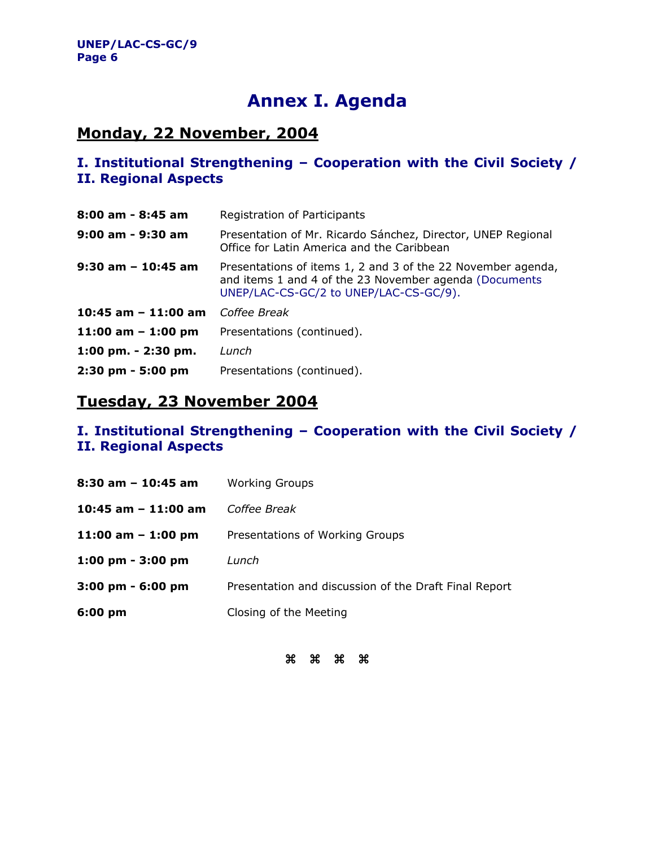# **Annex I. Agenda**

# **Monday, 22 November, 2004**

## **I. Institutional Strengthening – Cooperation with the Civil Society / II. Regional Aspects**

| 8:00 am - 8:45 am      | Registration of Participants                                                                                                                                     |
|------------------------|------------------------------------------------------------------------------------------------------------------------------------------------------------------|
| 9:00 am - 9:30 am      | Presentation of Mr. Ricardo Sánchez, Director, UNEP Regional<br>Office for Latin America and the Caribbean                                                       |
| 9:30 am - 10:45 am     | Presentations of items 1, 2 and 3 of the 22 November agenda,<br>and items 1 and 4 of the 23 November agenda (Documents<br>UNEP/LAC-CS-GC/2 to UNEP/LAC-CS-GC/9). |
| 10:45 am $-$ 11:00 am  | Coffee Break                                                                                                                                                     |
| 11:00 am $-$ 1:00 pm   | Presentations (continued).                                                                                                                                       |
| $1:00$ pm. $-2:30$ pm. | Lunch                                                                                                                                                            |
| $2:30$ pm - 5:00 pm    | Presentations (continued).                                                                                                                                       |

# **Tuesday, 23 November 2004**

## **I. Institutional Strengthening – Cooperation with the Civil Society / II. Regional Aspects**

| 8:30 am – 10:45 am                  | <b>Working Groups</b>                                 |
|-------------------------------------|-------------------------------------------------------|
| 10:45 am - 11:00 am                 | Coffee Break                                          |
| 11:00 am $-$ 1:00 pm                | Presentations of Working Groups                       |
| $1:00 \text{ pm} - 3:00 \text{ pm}$ | Lunch                                                 |
| 3:00 pm - 6:00 pm                   | Presentation and discussion of the Draft Final Report |
| 6:00 pm                             | Closing of the Meeting                                |

 $\mathcal{H}$   $\mathcal{H}$   $\mathcal{H}$   $\mathcal{H}$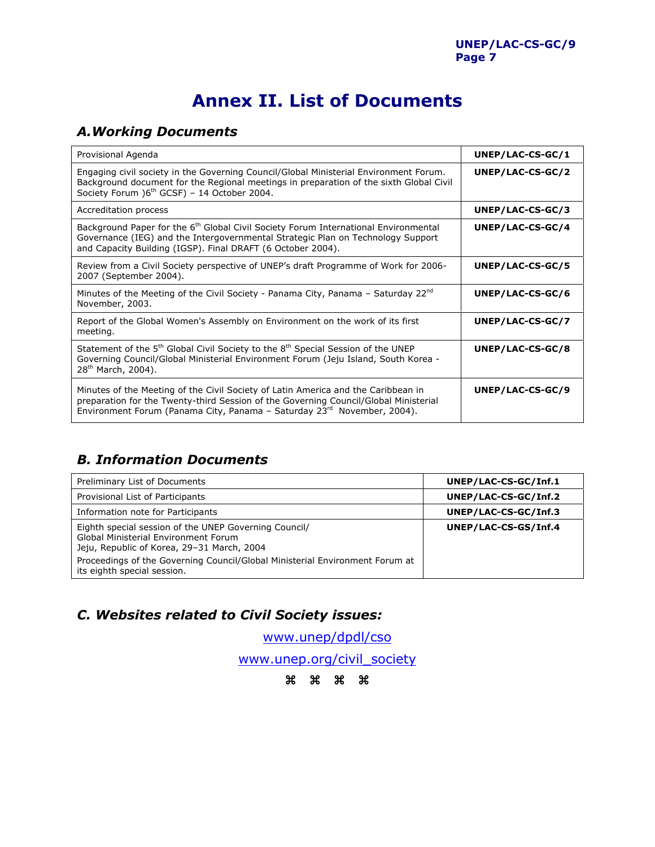# **Annex II. List of Documents**

# *A.Working Documents*

| Provisional Agenda                                                                                                                                                                                                                                               | UNEP/LAC-CS-GC/1 |
|------------------------------------------------------------------------------------------------------------------------------------------------------------------------------------------------------------------------------------------------------------------|------------------|
| Engaging civil society in the Governing Council/Global Ministerial Environment Forum.<br>Background document for the Regional meetings in preparation of the sixth Global Civil<br>Society Forum )6 <sup>th</sup> GCSF) - 14 October 2004.                       | UNEP/LAC-CS-GC/2 |
| Accreditation process                                                                                                                                                                                                                                            | UNEP/LAC-CS-GC/3 |
| Background Paper for the 6 <sup>th</sup> Global Civil Society Forum International Environmental<br>Governance (IEG) and the Intergovernmental Strategic Plan on Technology Support<br>and Capacity Building (IGSP). Final DRAFT (6 October 2004).                | UNEP/LAC-CS-GC/4 |
| Review from a Civil Society perspective of UNEP's draft Programme of Work for 2006-<br>2007 (September 2004).                                                                                                                                                    | UNEP/LAC-CS-GC/5 |
| Minutes of the Meeting of the Civil Society - Panama City, Panama - Saturday 22 <sup>nd</sup><br>November, 2003.                                                                                                                                                 | UNEP/LAC-CS-GC/6 |
| Report of the Global Women's Assembly on Environment on the work of its first<br>meeting.                                                                                                                                                                        | UNEP/LAC-CS-GC/7 |
| Statement of the 5 <sup>th</sup> Global Civil Society to the 8 <sup>th</sup> Special Session of the UNEP<br>Governing Council/Global Ministerial Environment Forum (Jeju Island, South Korea -<br>28 <sup>th</sup> March, 2004).                                 | UNEP/LAC-CS-GC/8 |
| Minutes of the Meeting of the Civil Society of Latin America and the Caribbean in<br>preparation for the Twenty-third Session of the Governing Council/Global Ministerial<br>Environment Forum (Panama City, Panama - Saturday 23 <sup>rd</sup> November, 2004). | UNEP/LAC-CS-GC/9 |

# *B. Information Documents*

| Preliminary List of Documents                                                                                                                                                                                                                              | UNEP/LAC-CS-GC/Inf.1 |
|------------------------------------------------------------------------------------------------------------------------------------------------------------------------------------------------------------------------------------------------------------|----------------------|
| Provisional List of Participants                                                                                                                                                                                                                           | UNEP/LAC-CS-GC/Inf.2 |
| Information note for Participants                                                                                                                                                                                                                          | UNEP/LAC-CS-GC/Inf.3 |
| Eighth special session of the UNEP Governing Council/<br>Global Ministerial Environment Forum<br>Jeju, Republic of Korea, 29-31 March, 2004<br>Proceedings of the Governing Council/Global Ministerial Environment Forum at<br>its eighth special session. | UNEP/LAC-CS-GS/Inf.4 |

# *C. Websites related to Civil Society issues:*

[www.unep/dpdl/cso](http://www.unep/dpdl/cso)

[www.unep.org/civil\\_society](http://www.unep.org/civil_society)

 $\mathcal{H}$   $\mathcal{H}$   $\mathcal{H}$   $\mathcal{H}$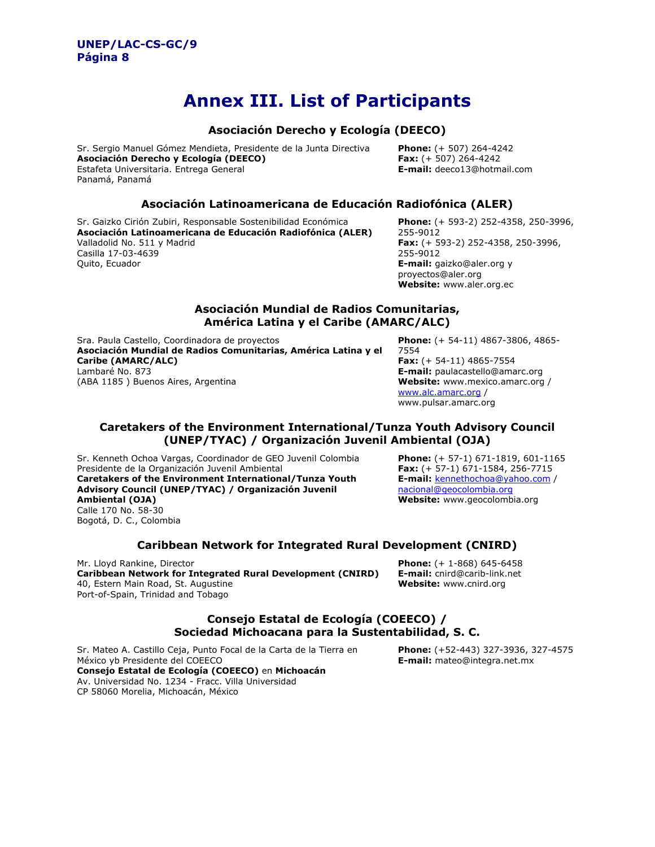# **Annex III. List of Participants**

#### **Asociación Derecho y Ecología (DEECO)**

Sr. Sergio Manuel Gómez Mendieta, Presidente de la Junta Directiva **Asociación Derecho y Ecología (DEECO)**  Estafeta Universitaria. Entrega General Panamá, Panamá

**Phone:** (+ 507) 264-4242 **Fax:** (+ 507) 264-4242 **E-mail:** [deeco13@hotmail.com](mailto:deeco13@hotmail.com)

#### **Asociación Latinoamericana de Educación Radiofónica (ALER)**

Sr. Gaizko Cirión Zubiri, Responsable Sostenibilidad Económica **Asociación Latinoamericana de Educación Radiofónica (ALER)**  Valladolid No. 511 y Madrid Casilla 17-03-4639 Quito, Ecuador

**Phone:** (+ 593-2) 252-4358, 250-3996, 255-9012 **Fax:** (+ 593-2) 252-4358, 250-3996, 255-9012 **E-mail:** gaizko@aler.org y proyectos@aler.org **Website:** [www.aler.org.ec](http://www.aler.org.ec/)

#### **Asociación Mundial de Radios Comunitarias, América Latina y el Caribe (AMARC/ALC)**

Sra. Paula Castello, Coordinadora de proyectos **Asociación Mundial de Radios Comunitarias, América Latina y el Caribe (AMARC/ALC)**  Lambaré No. 873 (ABA 1185 ) Buenos Aires, Argentina

**Phone:** (+ 54-11) 4867-3806, 4865- 7554 **Fax:** (+ 54-11) 4865-7554 **E-mail:** paulacastello@amarc.org **Website:** [www.mexico.amarc.org](http://www.mexico.amarc.org/) / [www.alc.amarc.org](http://www.alc.amarc.org/) / www.pulsar.amarc.org

#### **Caretakers of the Environment International/Tunza Youth Advisory Council (UNEP/TYAC) / Organización Juvenil Ambiental (OJA)**

Sr. Kenneth Ochoa Vargas, Coordinador de GEO Juvenil Colombia Presidente de la Organización Juvenil Ambiental **Caretakers of the Environment International/Tunza Youth Advisory Council (UNEP/TYAC) / Organización Juvenil Ambiental (OJA)**  Calle 170 No. 58-30 Bogotá, D. C., Colombia

**Phone:** (+ 57-1) 671-1819, 601-1165 **Fax:** (+ 57-1) 671-1584, 256-7715 **E-mail:** [kennethochoa@yahoo.com](mailto:kennethochoa@yahoo.com) / [nacional@geocolombia.org](mailto:nacional@geocolombia.org)  **Website:** [www.geocolombia.org](http://www.geocolombia.org/)

#### **Caribbean Network for Integrated Rural Development (CNIRD)**

Mr. Lloyd Rankine, Director **Caribbean Network for Integrated Rural Development (CNIRD)**  40, Estern Main Road, St. Augustine Port-of-Spain, Trinidad and Tobago

**Phone:** (+ 1-868) 645-6458 **E-mail:** cnird@carib-link.net **Website:** [www.cnird.org](http://www.cnird.org/)

#### **Consejo Estatal de Ecología (COEECO) / Sociedad Michoacana para la Sustentabilidad, S. C.**

Sr. Mateo A. Castillo Ceja, Punto Focal de la Carta de la Tierra en México yb Presidente del COEECO **Consejo Estatal de Ecología (COEECO)** en **Michoacán**  Av. Universidad No. 1234 - Fracc. Villa Universidad CP 58060 Morelia, Michoacán, México

**Phone:** (+52-443) 327-3936, 327-4575 **E-mail:** [mateo@integra.net.mx](mailto:mateo@integra.net.mx)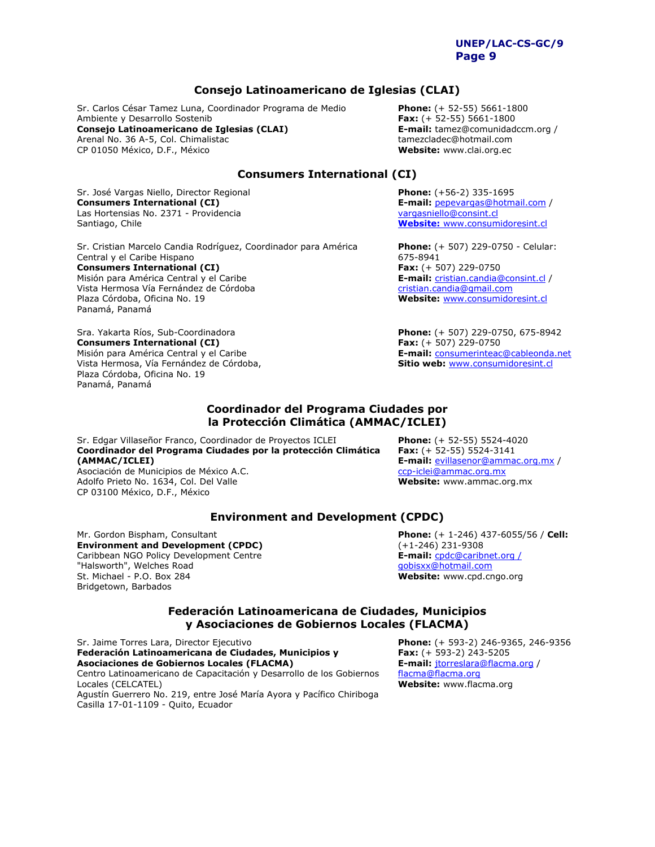#### **Consejo Latinoamericano de Iglesias (CLAI)**

Sr. Carlos César Tamez Luna, Coordinador Programa de Medio Ambiente y Desarrollo Sostenib **Consejo Latinoamericano de Iglesias (CLAI)**  Arenal No. 36 A-5, Col. Chimalistac CP 01050 México, D.F., México

**Phone:** (+ 52-55) 5661-1800 **Fax:** (+ 52-55) 5661-1800 **E-mail:** tamez@comunidadccm.org / tamezcladec@hotmail.com **Website:** [www.clai.org.ec](http://www.clai.org.ec/)

#### **Consumers International (CI)**

Sr. José Vargas Niello, Director Regional **Consumers International (CI)**  Las Hortensias No. 2371 - Providencia Santiago, Chile

Sr. Cristian Marcelo Candia Rodríguez, Coordinador para América Central y el Caribe Hispano **Consumers International (CI)**  Misión para América Central y el Caribe Vista Hermosa Vía Fernández de Córdoba Plaza Córdoba, Oficina No. 19 Panamá, Panamá

Sra. Yakarta Ríos, Sub-Coordinadora **Consumers International (CI)**  Misión para América Central y el Caribe Vista Hermosa, Vía Fernández de Córdoba, Plaza Córdoba, Oficina No. 19 Panamá, Panamá

**Phone:** (+56-2) 335-1695 **E-mail:** [pepevargas@hotmail.com](mailto:pepevargas@hotmail.com) / [vargasniello@consint.cl](mailto:vargasniello@consint.cl) **Website:** [www.consumidoresint.cl](http://sitio web: www.consumidoresint.cl/)

**Phone:** (+ 507) 229-0750 - Celular: 675-8941 **Fax:** (+ 507) 229-0750 **E-mail:** [cristian.candia@consint.cl](mailto:cristian.candia@consint.cl) / [cristian.candia@gmail.com](mailto:cristian.candia@gmail.com) **Website:** [www.consumidoresint.cl](http://www.consumidoresint.cl/) 

**Phone:** (+ 507) 229-0750, 675-8942 **Fax:** (+ 507) 229-0750 **E-mail:** [consumerinteac@cableonda.net](mailto:consumerinteac@cableonda.net) **Sitio web:** [www.consumidoresint.cl](http://www.consumidoresint.cl/)

#### **Coordinador del Programa Ciudades por la Protección Climática (AMMAC/ICLEI)**

Sr. Edgar Villaseñor Franco, Coordinador de Proyectos ICLEI **Coordinador del Programa Ciudades por la protección Climática (AMMAC/ICLEI)** 

Asociación de Municipios de México A.C. Adolfo Prieto No. 1634, Col. Del Valle CP 03100 México, D.F., México

**Phone:** (+ 52-55) 5524-4020 **Fax:** (+ 52-55) 5524-3141 **E-mail:** [evillasenor@ammac.org.mx](mailto:evillasenor@ammac.org.mx) / [ccp-iclei@ammac.org.mx](mailto:ccp-iclei@ammac.org.mx) **Website:** [www.ammac.org.mx](http://www.ammac.org.mx/) 

#### **Environment and Development (CPDC)**

Mr. Gordon Bispham, Consultant **Environment and Development (CPDC)**  Caribbean NGO Policy Development Centre "Halsworth", Welches Road St. Michael - P.O. Box 284 Bridgetown, Barbados

**Phone:** (+ 1-246) 437-6055/56 / **Cell:** (+1-246) 231-9308 **E-mail:** [cpdc@caribnet.org /](mailto:cpdc@caribnet.org / gobisxx@hotmail.com)  [gobisxx@hotmail.com](mailto:cpdc@caribnet.org / gobisxx@hotmail.com) **Website:** [www.cpd.cngo.org](http://www.cpd.cngo.org/)

#### **Federación Latinoamericana de Ciudades, Municipios y Asociaciones de Gobiernos Locales (FLACMA)**

Sr. Jaime Torres Lara, Director Ejecutivo **Federación Latinoamericana de Ciudades, Municipios y Asociaciones de Gobiernos Locales (FLACMA)**  Centro Latinoamericano de Capacitación y Desarrollo de los Gobiernos Locales (CELCATEL) Agustín Guerrero No. 219, entre José María Ayora y Pacífico Chiriboga Casilla 17-01-1109 - Quito, Ecuador

**Phone:** (+ 593-2) 246-9365, 246-9356 **Fax:** (+ 593-2) 243-5205 **E-mail:** [jtorreslara@flacma.org](mailto:jtorreslara@flacma.org) / [flacma@flacma.org](mailto:flacma@flacma.org) **Website:** [www.flacma.org](http://www.flacma.org/)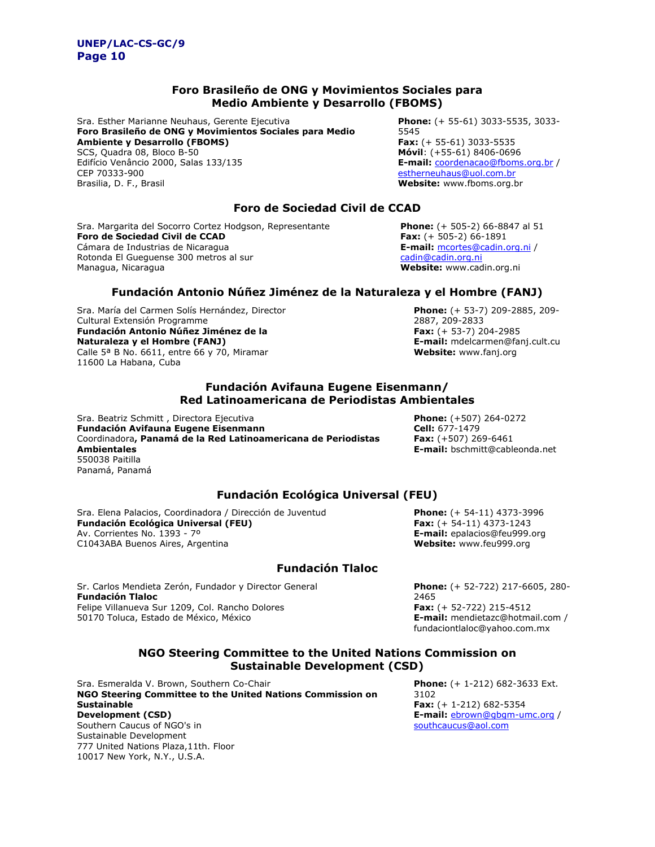#### **Foro Brasileño de ONG y Movimientos Sociales para Medio Ambiente y Desarrollo (FBOMS)**

Sra. Esther Marianne Neuhaus, Gerente Ejecutiva **Foro Brasileño de ONG y Movimientos Sociales para Medio Ambiente y Desarrollo (FBOMS)**  SCS, Quadra 08, Bloco B-50 Edifício Venâncio 2000, Salas 133/135 CEP 70333-900 Brasilia, D. F., Brasil

**Phone:** (+ 55-61) 3033-5535, 3033- 5545 **Fax:** (+ 55-61) 3033-5535 **Móvil**: (+55-61) 8406-0696 **E-mail:** [coordenacao@fboms.org.br](mailto:coordenacao@fboms.org.br) / [estherneuhaus@uol.com.br](mailto:estherneuhaus@uol.com.br) **Website:** [www.fboms.org.br](http://www.fboms.org.br/) 

#### **Foro de Sociedad Civil de CCAD**

Sra. Margarita del Socorro Cortez Hodgson, Representante **Foro de Sociedad Civil de CCAD**  Cámara de Industrias de Nicaragua Rotonda El Gueguense 300 metros al sur Managua, Nicaragua

**Phone:** (+ 505-2) 66-8847 al 51 **Fax:** (+ 505-2) 66-1891 **E-mail:** [mcortes@cadin.org.ni](mailto:mcortes@cadin.org.ni) / [cadin@cadin.org.ni](mailto:cadin@cadin.org.ni)  **Website:** [www.cadin.org.ni](http://www.cadin.org.ni/)

#### **Fundación Antonio Núñez Jiménez de la Naturaleza y el Hombre (FANJ)**

Sra. María del Carmen Solís Hernández, Director Cultural Extensión Programme **Fundación Antonio Núñez Jiménez de la Naturaleza y el Hombre (FANJ)**  Calle 5ª B No. 6611, entre 66 y 70, Miramar 11600 La Habana, Cuba

**Phone:** (+ 53-7) 209-2885, 209- 2887, 209-2833 **Fax:** (+ 53-7) 204-2985 **E-mail:** mdelcarmen@fanj.cult.cu **Website:** [www.fanj.org](http://www.fanj.org/)

#### **Fundación Avifauna Eugene Eisenmann/ Red Latinoamericana de Periodistas Ambientales**

Sra. Beatriz Schmitt , Directora Ejecutiva **Fundación Avifauna Eugene Eisenmann**  Coordinadora**, Panamá de la Red Latinoamericana de Periodistas Ambientales**  550038 Paitilla Panamá, Panamá

**Phone:** (+507) 264-0272 **Cell:** 677-1479 **Fax:** (+507) 269-6461 **E-mail:** bschmitt@cableonda.net

#### **Fundación Ecológica Universal (FEU)**

Sra. Elena Palacios, Coordinadora / Dirección de Juventud **Fundación Ecológica Universal (FEU)**  Av. Corrientes No. 1393 - 7º C1043ABA Buenos Aires, Argentina

**Phone:** (+ 54-11) 4373-3996 **Fax:** (+ 54-11) 4373-1243 **E-mail:** epalacios@feu999.org **Website:** [www.feu999.org](http://www.feu999.org/)

#### **Fundación Tlaloc**

Sr. Carlos Mendieta Zerón, Fundador y Director General **Fundación Tlaloc**  Felipe Villanueva Sur 1209, Col. Rancho Dolores 50170 Toluca, Estado de México, México

**Phone:** (+ 52-722) 217-6605, 280- 2465 **Fax:** (+ 52-722) 215-4512 **E-mail:** mendietazc@hotmail.com / [fundaciontlaloc@yahoo.com.mx](mailto:fundaciontlaloc@yahoo.com.mx)

#### **NGO Steering Committee to the United Nations Commission on Sustainable Development (CSD)**

Sra. Esmeralda V. Brown, Southern Co-Chair **NGO Steering Committee to the United Nations Commission on Sustainable Development (CSD)**  Southern Caucus of NGO's in Sustainable Development 777 United Nations Plaza,11th. Floor 10017 New York, N.Y., U.S.A.

**Phone:** (+ 1-212) 682-3633 Ext. 3102 **Fax:** (+ 1-212) 682-5354 **E-mail:** [ebrown@gbgm-umc.org](mailto:ebrown@gbgm-umc.org) / [southcaucus@aol.com](mailto:southcaucus@aol.com)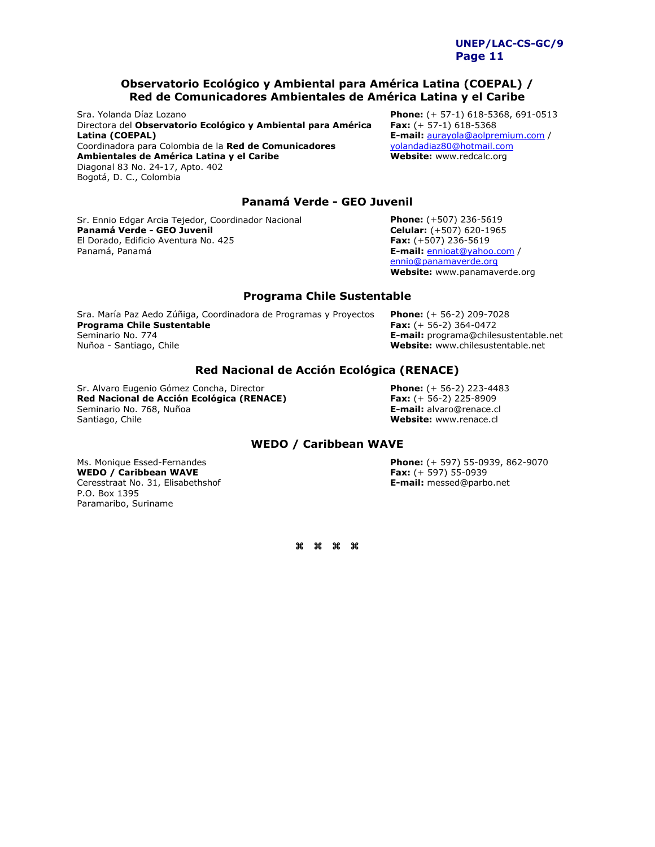#### **Observatorio Ecológico y Ambiental para América Latina (COEPAL) / Red de Comunicadores Ambientales de América Latina y el Caribe**

Sra. Yolanda Díaz Lozano Directora del **Observatorio Ecológico y Ambiental para América Latina (COEPAL)** Coordinadora para Colombia de la **Red de Comunicadores Ambientales de América Latina y el Caribe**  Diagonal 83 No. 24-17, Apto. 402 Bogotá, D. C., Colombia

**Phone:** (+ 57-1) 618-5368, 691-0513 **Fax:** (+ 57-1) 618-5368 **E-mail:** [aurayola@aolpremium.com](mailto:aurayola@aolpremium.com) / [yolandadiaz80@hotmail.com](mailto:yolandadiaz80@hotmail.com) **Website:** [www.redcalc.org](http://www.redcalc.org/)

#### **Panamá Verde - GEO Juvenil**

Sr. Ennio Edgar Arcia Tejedor, Coordinador Nacional **Panamá Verde - GEO Juvenil**  El Dorado, Edificio Aventura No. 425 Panamá, Panamá

**Phone:** (+507) 236-5619 **Celular:** (+507) 620-1965 **Fax:** (+507) 236-5619 **E-mail:** [ennioat@yahoo.com](mailto:ennioat@yahoo.com) / [ennio@panamaverde.org](mailto:ennio@panamaverde.org)  **Website:** [www.panamaverde.org](http://www.panamaverde.org/) 

#### **Programa Chile Sustentable**

Sra. María Paz Aedo Zúñiga, Coordinadora de Programas y Proyectos **Programa Chile Sustentable**  Seminario No. 774 Nuñoa - Santiago, Chile

**Phone:** (+ 56-2) 209-7028 **Fax:** (+ 56-2) 364-0472 **E-mail:** programa@chilesustentable.net **Website:** [www.chilesustentable.net](http://www.chilesustentable.net/)

#### **Red Nacional de Acción Ecológica (RENACE)**

Sr. Alvaro Eugenio Gómez Concha, Director **Red Nacional de Acción Ecológica (RENACE)**  Seminario No. 768, Nuñoa Santiago, Chile

**Phone:** (+ 56-2) 223-4483 **Fax:** (+ 56-2) 225-8909 **E-mail:** alvaro@renace.cl **Website:** [www.renace.cl](http://www.renace.cl/)

#### **WEDO / Caribbean WAVE**

Ms. Monique Essed-Fernandes **WEDO / Caribbean WAVE**  Ceresstraat No. 31, Elisabethshof P.O. Box 1395 Paramaribo, Suriname

**Phone:** (+ 597) 55-0939, 862-9070 **Fax:** (+ 597) 55-0939 **E-mail:** messed@parbo.net

a a a a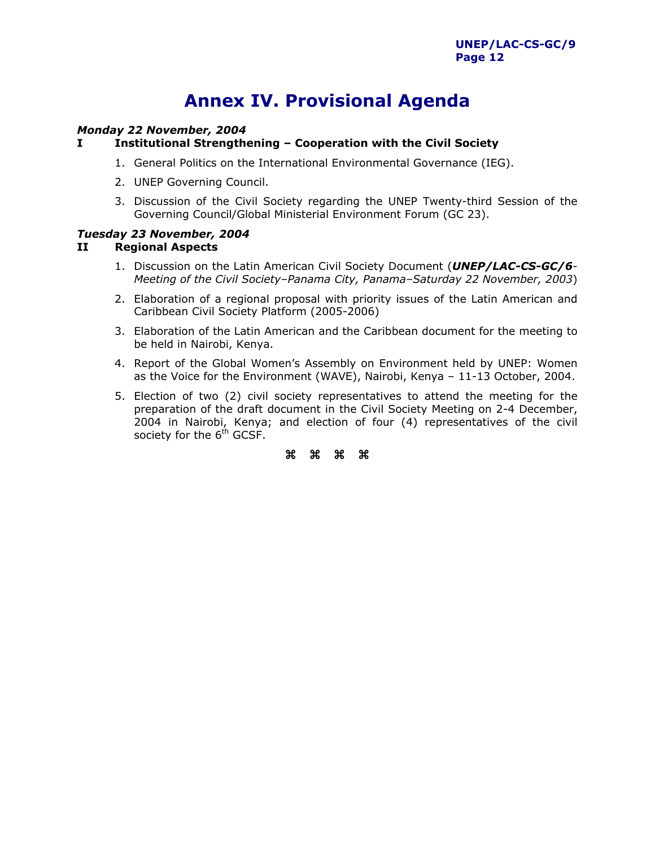# **Annex IV. Provisional Agenda**

#### *Monday 22 November, 2004*

#### **I Institutional Strengthening – Cooperation with the Civil Society**

- 1. General Politics on the International Environmental Governance (IEG).
- 2. UNEP Governing Council.
- 3. Discussion of the Civil Society regarding the UNEP Twenty-third Session of the Governing Council/Global Ministerial Environment Forum (GC 23).

#### *Tuesday 23 November, 2004*

#### **II Regional Aspects**

- 1. Discussion on the Latin American Civil Society Document (*UNEP/LAC-CS-GC/6 Meeting of the Civil Society–Panama City, Panama–Saturday 22 November, 2003*)
- 2. Elaboration of a regional proposal with priority issues of the Latin American and Caribbean Civil Society Platform (2005-2006)
- 3. Elaboration of the Latin American and the Caribbean document for the meeting to be held in Nairobi, Kenya.
- 4. Report of the Global Women's Assembly on Environment held by UNEP: Women as the Voice for the Environment (WAVE), Nairobi, Kenya – 11-13 October, 2004.
- 5. Election of two (2) civil society representatives to attend the meeting for the preparation of the draft document in the Civil Society Meeting on 2-4 December, 2004 in Nairobi, Kenya; and election of four (4) representatives of the civil society for the 6<sup>th</sup> GCSF.

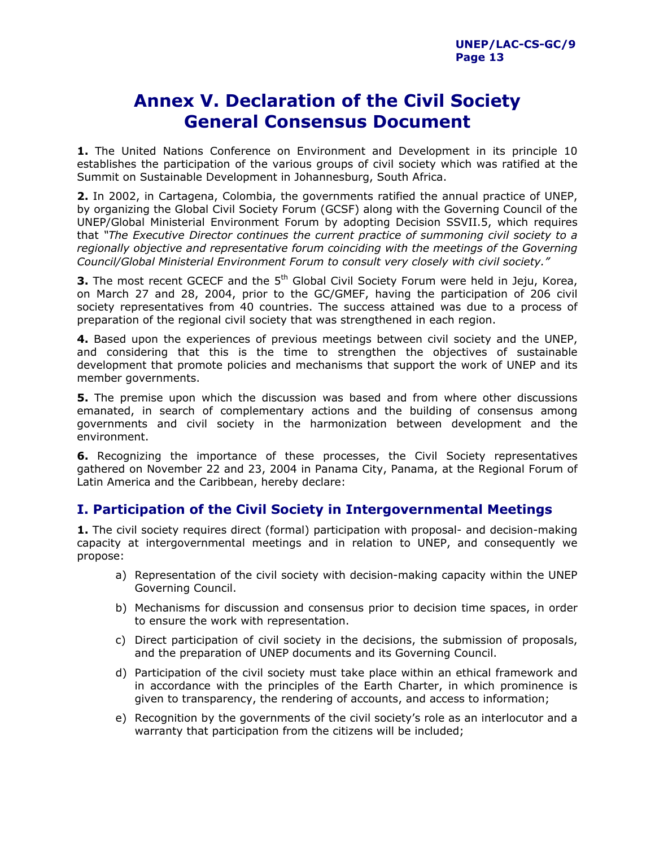# **Annex V. Declaration of the Civil Society General Consensus Document**

**1.** The United Nations Conference on Environment and Development in its principle 10 establishes the participation of the various groups of civil society which was ratified at the Summit on Sustainable Development in Johannesburg, South Africa.

**2.** In 2002, in Cartagena, Colombia, the governments ratified the annual practice of UNEP, by organizing the Global Civil Society Forum (GCSF) along with the Governing Council of the UNEP/Global Ministerial Environment Forum by adopting Decision SSVII.5, which requires that *"The Executive Director continues the current practice of summoning civil society to a regionally objective and representative forum coinciding with the meetings of the Governing Council/Global Ministerial Environment Forum to consult very closely with civil society."*

**3.** The most recent GCECF and the 5<sup>th</sup> Global Civil Society Forum were held in Jeju, Korea, on March 27 and 28, 2004, prior to the GC/GMEF, having the participation of 206 civil society representatives from 40 countries. The success attained was due to a process of preparation of the regional civil society that was strengthened in each region.

**4.** Based upon the experiences of previous meetings between civil society and the UNEP, and considering that this is the time to strengthen the objectives of sustainable development that promote policies and mechanisms that support the work of UNEP and its member governments.

**5.** The premise upon which the discussion was based and from where other discussions emanated, in search of complementary actions and the building of consensus among governments and civil society in the harmonization between development and the environment.

**6.** Recognizing the importance of these processes, the Civil Society representatives gathered on November 22 and 23, 2004 in Panama City, Panama, at the Regional Forum of Latin America and the Caribbean, hereby declare:

## **I. Participation of the Civil Society in Intergovernmental Meetings**

**1.** The civil society requires direct (formal) participation with proposal- and decision-making capacity at intergovernmental meetings and in relation to UNEP, and consequently we propose:

- a) Representation of the civil society with decision-making capacity within the UNEP Governing Council.
- b) Mechanisms for discussion and consensus prior to decision time spaces, in order to ensure the work with representation.
- c) Direct participation of civil society in the decisions, the submission of proposals, and the preparation of UNEP documents and its Governing Council.
- d) Participation of the civil society must take place within an ethical framework and in accordance with the principles of the Earth Charter, in which prominence is given to transparency, the rendering of accounts, and access to information;
- e) Recognition by the governments of the civil society's role as an interlocutor and a warranty that participation from the citizens will be included;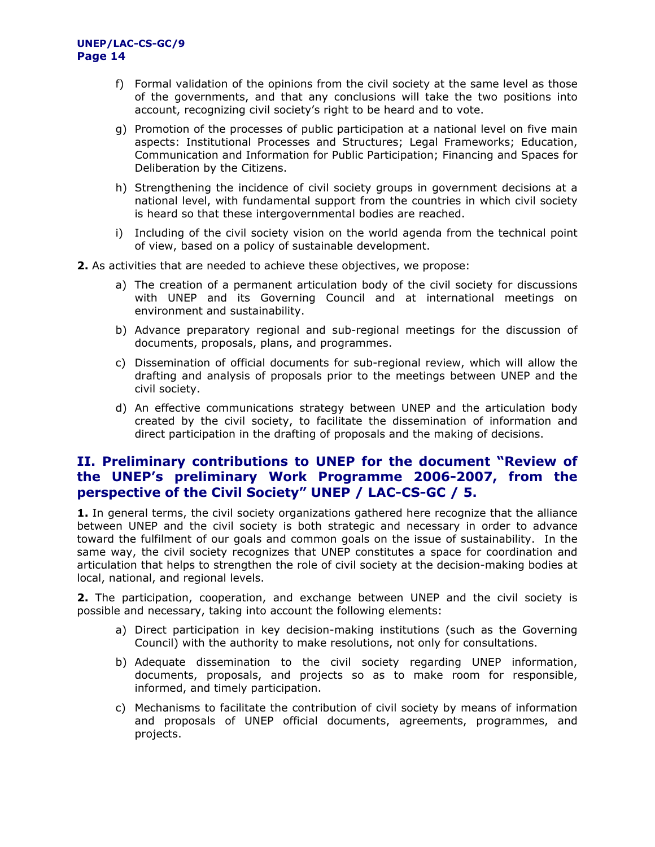#### **UNEP/LAC-CS-GC/9 Page 14**

- f) Formal validation of the opinions from the civil society at the same level as those of the governments, and that any conclusions will take the two positions into account, recognizing civil society's right to be heard and to vote.
- g) Promotion of the processes of public participation at a national level on five main aspects: Institutional Processes and Structures; Legal Frameworks; Education, Communication and Information for Public Participation; Financing and Spaces for Deliberation by the Citizens.
- h) Strengthening the incidence of civil society groups in government decisions at a national level, with fundamental support from the countries in which civil society is heard so that these intergovernmental bodies are reached.
- i) Including of the civil society vision on the world agenda from the technical point of view, based on a policy of sustainable development.
- **2.** As activities that are needed to achieve these objectives, we propose:
	- a) The creation of a permanent articulation body of the civil society for discussions with UNEP and its Governing Council and at international meetings on environment and sustainability.
	- b) Advance preparatory regional and sub-regional meetings for the discussion of documents, proposals, plans, and programmes.
	- c) Dissemination of official documents for sub-regional review, which will allow the drafting and analysis of proposals prior to the meetings between UNEP and the civil society.
	- d) An effective communications strategy between UNEP and the articulation body created by the civil society, to facilitate the dissemination of information and direct participation in the drafting of proposals and the making of decisions.

### **II. Preliminary contributions to UNEP for the document "Review of the UNEP's preliminary Work Programme 2006-2007, from the perspective of the Civil Society" UNEP / LAC-CS-GC / 5.**

**1.** In general terms, the civil society organizations gathered here recognize that the alliance between UNEP and the civil society is both strategic and necessary in order to advance toward the fulfilment of our goals and common goals on the issue of sustainability. In the same way, the civil society recognizes that UNEP constitutes a space for coordination and articulation that helps to strengthen the role of civil society at the decision-making bodies at local, national, and regional levels.

**2.** The participation, cooperation, and exchange between UNEP and the civil society is possible and necessary, taking into account the following elements:

- a) Direct participation in key decision-making institutions (such as the Governing Council) with the authority to make resolutions, not only for consultations.
- b) Adequate dissemination to the civil society regarding UNEP information, documents, proposals, and projects so as to make room for responsible, informed, and timely participation.
- c) Mechanisms to facilitate the contribution of civil society by means of information and proposals of UNEP official documents, agreements, programmes, and projects.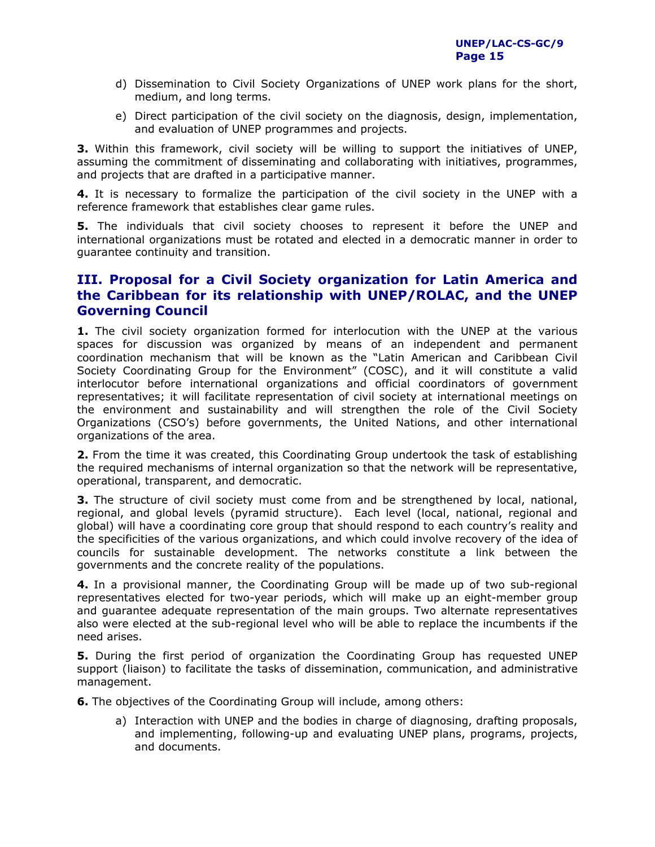- d) Dissemination to Civil Society Organizations of UNEP work plans for the short, medium, and long terms.
- e) Direct participation of the civil society on the diagnosis, design, implementation, and evaluation of UNEP programmes and projects.

**3.** Within this framework, civil society will be willing to support the initiatives of UNEP, assuming the commitment of disseminating and collaborating with initiatives, programmes, and projects that are drafted in a participative manner.

**4.** It is necessary to formalize the participation of the civil society in the UNEP with a reference framework that establishes clear game rules.

**5.** The individuals that civil society chooses to represent it before the UNEP and international organizations must be rotated and elected in a democratic manner in order to guarantee continuity and transition.

## **III. Proposal for a Civil Society organization for Latin America and the Caribbean for its relationship with UNEP/ROLAC, and the UNEP Governing Council**

**1.** The civil society organization formed for interlocution with the UNEP at the various spaces for discussion was organized by means of an independent and permanent coordination mechanism that will be known as the "Latin American and Caribbean Civil Society Coordinating Group for the Environment" (COSC), and it will constitute a valid interlocutor before international organizations and official coordinators of government representatives; it will facilitate representation of civil society at international meetings on the environment and sustainability and will strengthen the role of the Civil Society Organizations (CSO's) before governments, the United Nations, and other international organizations of the area.

**2.** From the time it was created, this Coordinating Group undertook the task of establishing the required mechanisms of internal organization so that the network will be representative, operational, transparent, and democratic.

**3.** The structure of civil society must come from and be strengthened by local, national, regional, and global levels (pyramid structure). Each level (local, national, regional and global) will have a coordinating core group that should respond to each country's reality and the specificities of the various organizations, and which could involve recovery of the idea of councils for sustainable development. The networks constitute a link between the governments and the concrete reality of the populations.

**4.** In a provisional manner, the Coordinating Group will be made up of two sub-regional representatives elected for two-year periods, which will make up an eight-member group and guarantee adequate representation of the main groups. Two alternate representatives also were elected at the sub-regional level who will be able to replace the incumbents if the need arises.

**5.** During the first period of organization the Coordinating Group has requested UNEP support (liaison) to facilitate the tasks of dissemination, communication, and administrative management.

**6.** The objectives of the Coordinating Group will include, among others:

a) Interaction with UNEP and the bodies in charge of diagnosing, drafting proposals, and implementing, following-up and evaluating UNEP plans, programs, projects, and documents.